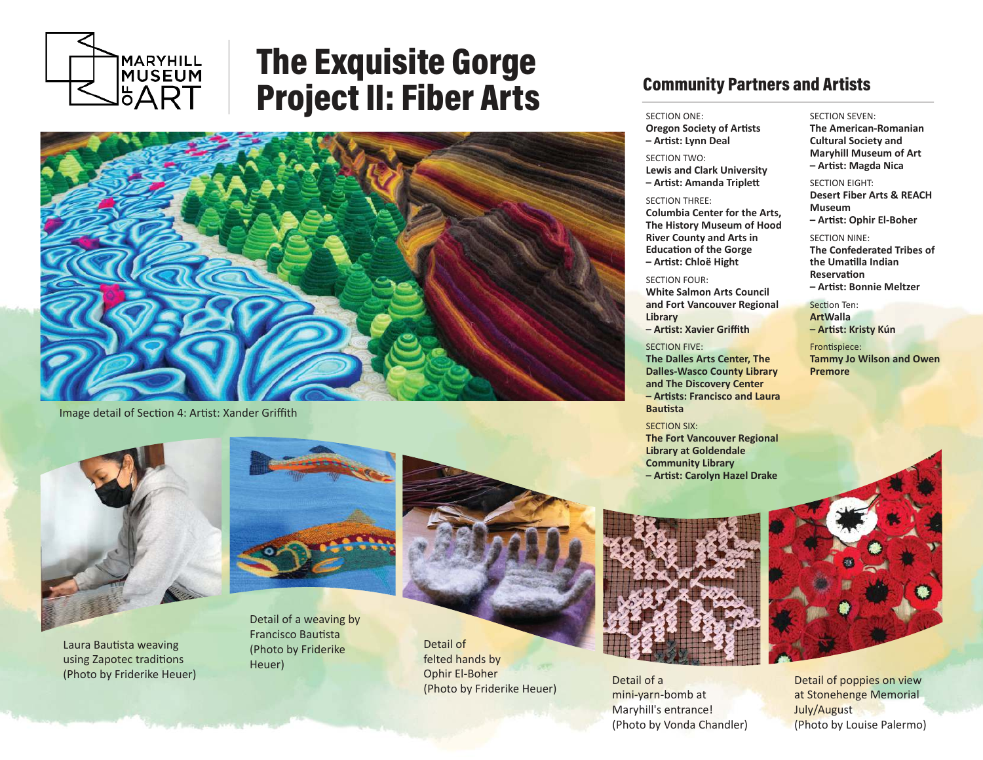

# The Exquisite Gorge Project II: Fiber Arts



Image detail of Section 4: Artist: Xander Griffith



Laura Bautista weaving using Zapotec traditions (Photo by Friderike Heuer)



Detail of a weaving by Francisco Bautista (Photo by Friderike Heuer)



Detail of felted hands by Ophir El-Boher (Photo by Friderike Heuer)

# Community Partners and Artists

#### SECTION ONE:

**Oregon Society of Artists – Ar�st: Lynn Deal**

## SECTION TWO: **Lewis and Clark University**

**– Ar�st: Amanda Triple�**

#### SECTION THREE:

**Columbia Center for the Arts, The History Museum of Hood River County and Arts in Education of the Gorge – Ar�st: Chloë Hight**

#### SECTION FOUR:

**White Salmon Arts Council and Fort Vancouver Regional Library – Ar�st: Xavier Griffith**

#### SECTION FIVE:

**The Dalles Arts Center, The Dalles-Wasco County Library and The Discovery Center – Ar�sts: Francisco and Laura Bau�sta**

#### SECTION SIX:

**The Fort Vancouver Regional Library at Goldendale Community Library – Ar�st: Carolyn Hazel Drake**



Detail of a mini-yarn-bomb at Maryhill's entrance! (Photo by Vonda Chandler)

#### SECTION SEVEN:

**The American-Romanian Cultural Society and Maryhill Museum of Art – Ar�st: Magda Nica**

#### SECTION EIGHT:

**Desert Fiber Arts & REACH Museum – Ar�st: Ophir El-Boher**

#### SECTION NINE:

**The Confederated Tribes of the Uma�lla Indian Reservation – Ar�st: Bonnie Meltzer**

Section Ten: **ArtWalla – Ar�st: Kristy Kún**

Frontispiece: **Tammy Jo Wilson and Owen Premore**



Detail of poppies on view at Stonehenge Memorial July/August (Photo by Louise Palermo)